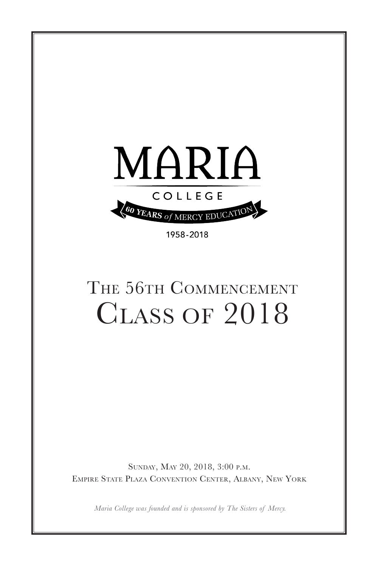

1958-2018

# THE 56TH COMMENCEMENT Class of 2018

Sunday, May 20, 2018, 3:00 p.m. Empire State Plaza Convention Center, Albany, New York

*Maria College was founded and is sponsored by The Sisters of Mercy.*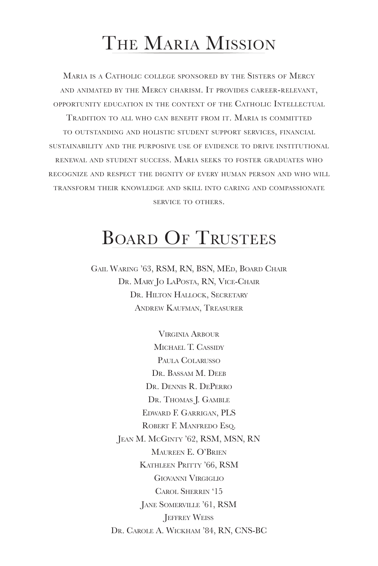## The Maria Mission

Maria is a Catholic college sponsored by the Sisters of Mercy and animated by the Mercy charism. It provides career-relevant, opportunity education in the context of the Catholic Intellectual Tradition to all who can benefit from it. Maria is committed to outstanding and holistic student support services, financial sustainability and the purposive use of evidence to drive institutional renewal and student success. Maria seeks to foster graduates who recognize and respect the dignity of every human person and who will transform their knowledge and skill into caring and compassionate service to others.

# BOARD OF TRUSTEES

Gail Waring '63, RSM, RN, BSN, MEd, Board Chair Dr. Mary Jo LaPosta, RN, Vice-Chair DR. HILTON HALLOCK, SECRETARY Andrew Kaufman, Treasurer

> Virginia Arbour MICHAEL T. CASSIDY PAULA COLARUSSO Dr. BASSAM M. DEEB Dr. Dennis R. DePerro DR. THOMAS J. GAMBLE Edward F. Garrigan, PLS Robert F. Manfredo Esq. Jean M. McGinty '62, RSM, MSN, RN Maureen E. O'Brien Kathleen Pritty '66, RSM Giovanni Virgiglio Carol Sherrin '15 Jane Somerville '61, RSM **JEFFREY WEISS** Dr. Carole A. Wickham '84, RN, CNS-BC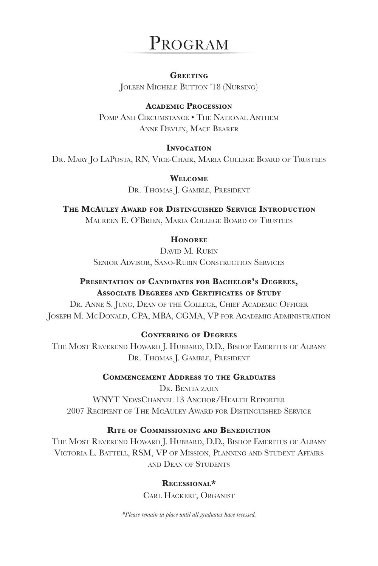### PROGRAM

**Greeting** Joleen Michele Button '18 (Nursing)

**Academic Procession** POMP AND CIRCUMSTANCE • THE NATIONAL ANTHEM Anne Devlin, Mace Bearer

#### **INVOCATION**

Dr. Mary Jo LaPosta, RN, Vice-Chair, Maria College Board of Trustees

**Welcome** DR. THOMAS J. GAMBLE, PRESIDENT

**The McAuley Award for Distinguished Service Introduction** Maureen E. O'Brien, Maria College Board of Trustees

#### **Honoree**

DAVID M. RUBIN Senior Advisor, Sano-Rubin Construction Services

#### **Presentation of Candidates for Bachelor's Degrees, Associate Degrees and Certificates of Study**

Dr. Anne S. Jung, Dean of the College, Chief Academic Officer Joseph M. McDonald, CPA, MBA, CGMA, VP for Academic Administration

**Conferring of Degrees**

The Most Reverend Howard J. Hubbard, D.D., Bishop Emeritus of Albany DR. THOMAS J. GAMBLE, PRESIDENT

#### **Commencement Address to the Graduates**

Dr. Benita zahn WNYT NEWSCHANNEL 13 ANCHOR/HEALTH REPORTER 2007 Recipient of The McAuley Award for Distinguished Service

#### **Rite of Commissioning and Benediction**

THE MOST REVEREND HOWARD J. HUBBARD, D.D., BISHOP EMERITUS OF ALBANY Victoria L. Battell, RSM, VP of Mission, Planning and Student Affairs and Dean of Students

#### **Recessional\***

Carl Hackert, Organist

*\*Please remain in place until all graduates have recessed.*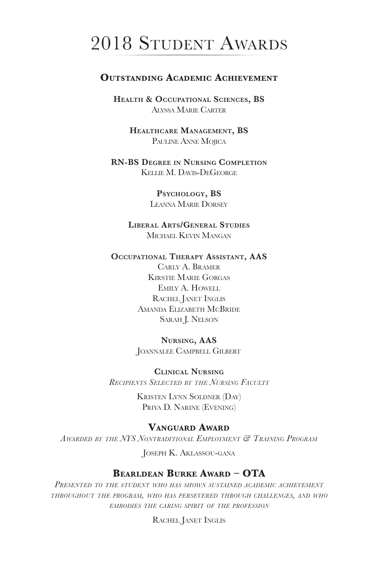## 2018 Student Awards

#### **OUTSTANDING ACADEMIC ACHIEVEMENT**

**Health & Occupational Sciences, BS** Alyssa Marie Carter

> **Healthcare Management, BS** Pauline Anne Mojica

**RN-BS Degree in Nursing Completion** Kellie M. Davis-DeGeorge

> **Psychology, BS** Leanna Marie Dorsey

**Liberal Arts/General Studies** Michael Kevin Mangan

#### **Occupational Therapy Assistant, AAS**

Carly A. Bramer Kirstie Marie Gorgas Emily A. Howell Rachel Janet Inglis Amanda Elizabeth McBride SARAH J. NELSON

#### **Nursing, AAS**

Joannalee Campbell Gilbert

#### **Clinical Nursing**

*Recipients Selected by the Nursing Faculty*

Kristen Lynn Soldner (Day) Priya D. Narine (Evening)

#### **Vanguard Award**

*Awarded by the NYS Nontraditional Employment & Training Program*

Joseph K. Aklassou-gana

#### **Bearldean Burke Award – OTA**

*Presented to the student who has shown sustained academic achievement throughout the program, who has persevered through challenges, and who embodies the caring spirit of the profession*

Rachel Janet Inglis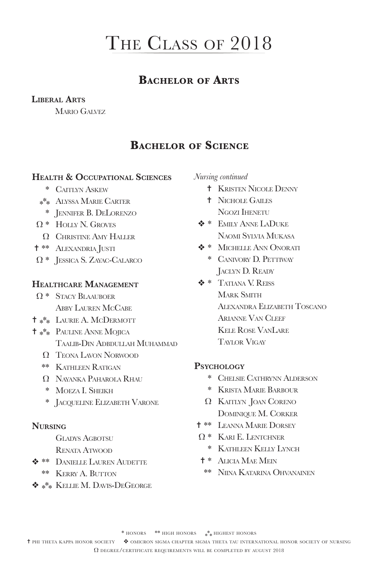### **Bachelor of Arts**

#### **Liberal Arts**

Mario Galvez

### **Bachelor of Science**

#### **Health & Occupational Sciences**

- \* Caitlyn Askew
- \*\*\* Alyssa Marie Carter
	- \* Jennifer B. DeLorenzo
- Ω \* Holly N. Groves
	- Ω Christine Amy Haller
- <sup>\*\*</sup> ALEXANDRIA JUSTI
- Ω \* Jessica S. Zayac-Calarco

#### **Healthcare Management**

- Ω \* Stacy Blaauboer Abby Lauren McCabe
- $\dagger$  \*\* LAURIE A. McDERMOTT
- <sup>=</sup>\*\*\* Pauline Anne Mojica Taalib-Din Adbdullah Muhammad
	- Ω Teona Lavon Norwood
	- \*\* Kathleen Ratigan
	- Ω Nayanka Paharola Rhau
	- \* Moeza I. Sheikh
	- \* Jacqueline Elizabeth Varone

#### **Nursing**

- GLADYS AGBOTSU
- Renata Atwood
- $*$  **\*\*** DANIELLE LAUREN AUDETTE
	- \*\* Kerry A. Button
- <sup>v</sup>\*\*\* Kellie M. Davis-DeGeorge

*Nursing continued*

- $+$  Kristen Nicole Denny
- $+$  Nichole Gailes Ngozi Ihenetu
- v \* Emily Anne LaDuke Naomi Sylvia Mukasa
- $\triangle$  **\* MICHELLE ANN ONORATI** 
	- \* Canivory D. Pettiway Jaclyn D. Ready
- v \* Tatiana V. Reiss MARK SMITH Alexandra Elizabeth Toscano Arianne Van Cleef Kele Rose VanLare Taylor Vigay

#### **Psychology**

- \* Chelsie Cathrynn Alderson
- \* Krista Marie Barbour
- Ω Kaitlyn Joan Coreno Dominique M. Corker
- <sup>\*</sup> LEANNA MARIE DORSEY
- Ω \* Kari E. Lentchner
	- \* Kathleen Kelly Lynch
- = \* Alicia Mae Mein
- \*\* Niina Katarina Ohvanainen

\* honors \*\* high honors \* \* \* highest honors

<sup>t</sup> phi theta kappa honor society  $\bullet$  omicron sigma chapter sigma theta tau international honor society of nursing

Ω degree/certificate requirements will be completed by august 2018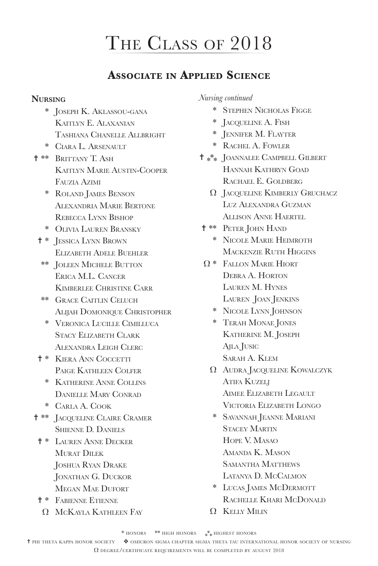### **Associate in Applied Science**

#### **Nursing**

- \* Joseph K. Aklassou-gana KAITLYN E. ALAXANIAN Tashiana Chanelle Allbright
- \* Ciara L. Arsenault
- <sup>+</sup>\*\* Brittany T. Ash Kaitlyn Marie Austin-Cooper Fauzia Azimi
	- \* Roland James Benson Alexandria Marie Bertone Rebecca Lynn Bishop
	- \* Olivia Lauren Bransky
	- $\dagger$  \* JESSICA LYNN BROWN Elizabeth Adele Buehler
	- \*\* Joleen Michele Button Erica M.L. Cancer Kimberlee Christine Carr
	- \*\* Grace Caitlin Celuch ALIJAH DOMONIQUE CHRISTOPHER
		- \* Veronica Lucille Cimilluca Stacy Elizabeth Clark Alexandra Leigh Clerc
	- $+$  \* KIERA ANN COCCETTI Paige Kathleen Colfer
		- \* Katherine Anne Collins Danielle Mary Conrad
		- \* Carla A. Cook
- <sup>\*\*</sup> JACQUELINE CLAIRE CRAMER Shienne D. Daniels
	- $+$  \* LAUREN ANNE DECKER MURAT DILEK Joshua Ryan Drake Jonathan G. Duckor Megan Mae Dufort
	- = \* Fabienne Etienne
	- Ω McKayla Kathleen Fay

### *Nursing continued*

- \* Stephen Nicholas Figge
- \* Jacqueline A. Fish
- \* Jennifer M. Flayter
- \* Rachel A. Fowler
- $\uparrow$   $*^*$  JOANNALEE CAMPBELL GILBERT Hannah Kathryn Goad RACHAEL E. GOLDBERG
	- Ω Jacqueline Kimberly Gruchacz Luz Alexandra Guzman Allison Anne Haertel
- <sup>\*\*</sup> PETER JOHN HAND
	- \* Nicole Marie Heimroth Mackenzie Ruth Higgins
- Ω \* Fallon Marie Hiort Debra A. Horton Lauren M. Hynes LAUREN JOAN JENKINS
	- \* Nicole Lynn Johnson
	- \* Terah Monae Jones KATHERINE M. JOSEPH Ajla Jusic Sarah A. Klem
	- Ω Audra Jacqueline Kowalczyk ATIFA KUZELJ AIMEE ELIZABETH LEGAULT Victoria Elizabeth Longo
	- \* Savannah Jeanne Mariani Stacey Martin Hope V. Masao Amanda K. Mason Samantha Matthews Latanya D. McCalmon
	- \* Lucas James McDermott Rachelle Khari McDonald
	- Ω Kelly Milin

<sup>t</sup> phi theta kappa honor society  $\bullet$  omicron sigma chapter sigma theta tau international honor society of nursing Ω degree/certificate requirements will be completed by august 2018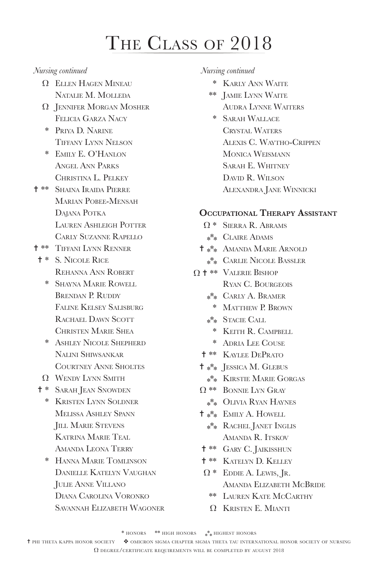#### *Nursing continued*

- Ω Ellen Hagen Mineau Natalie M. Molleda
- Ω Jennifer Morgan Mosher Felicia Garza Nacy
- \* Priya D. Narine Tiffany Lynn Nelson
- \* Emily E. O'Hanlon Angel Ann Parks Christina L. Pelkey
- <sup>\*</sup> Shaina Iraida Pierre Marian Pobee-Mensah DAJANA POTKA Lauren Ashleigh Potter Carly Suzanne Rapello
- = \*\* Tiffani Lynn Renner
- = \* S. Nicole Rice Rehanna Ann Robert
	- \* Shayna Marie Rowell BRENDAN P. RUDDY Faline Kelsey Salisburg RACHAEL DAWN SCOTT Christen Marie Shea
	- \* Ashley Nicole Shepherd Nalini Shiwsankar Courtney Anne Sholtes
	- Ω Wendy Lynn Smith
- <sup>\*</sup> SARAH JEAN SNOWDEN
	- \* Kristen Lynn Soldner Melissa Ashley Spann **JILL MARIE STEVENS**  Katrina Marie Teal Amanda Leona Terry
	- \* Hanna Marie Tomlinson Danielle Katelyn Vaughan Julie Anne Villano Diana Carolina Voronko Savannah Elizabeth Wagoner

#### *Nursing continued*

- \* Karly Ann Waite
- \*\* Jamie Lynn Waite Audra Lynne Waiters
- \* Sarah Wallace Crystal Waters Alexis C. Waytho-Crippen Monica Weismann Sarah E. Whitney David R. Wilson Alexandra Jane Winnicki

#### **Occupational Therapy Assistant**

- Ω \* Sierra R. Abrams
- \*\*\* Claire Adams
- $\uparrow$  \*\* AMANDA MARIE ARNOLD
	- \*\*\* Carlie Nicole Bassler
- $\Omega$  † \*\* Valerie Bishop Ryan C. Bourgeois
	- \*\*\* Carly A. Bramer
		- \* Matthew P. Brown
	- \*\*\* Stacie Call
		- \* KEITH R. CAMPBELL
		- \* Adria Lee Couse
	- = \*\* Kaylee DePrato
	- $\dagger$  \*\* JESSICA M. GLEBUS
		- \*\*\* Kirstie Marie Gorgas
	- Ω \*\* Bonnie Lyn Gray
		- \*\*\* Olivia Ryan Haynes
	- $\dagger$  \*\* EMILY A. HOWELL
		- \*\*\* Rachel Janet Inglis AMANDA R. ITSKOV
	- $\dagger$  \*\* GARY C. JAIKISSHUN
	- $† **$  KATELYN D. KELLEY
	- $\Omega$  \* EDDIE A. LEWIS, JR. Amanda Elizabeth McBride
		- \*\* Lauren Kate McCarthy
		- Ω Kristen E. Mianti

<sup>t</sup> phi theta kappa honor society  $\bullet$  omicron sigma chapter sigma theta tau international honor society of nursing Ω degree/certificate requirements will be completed by august 2018